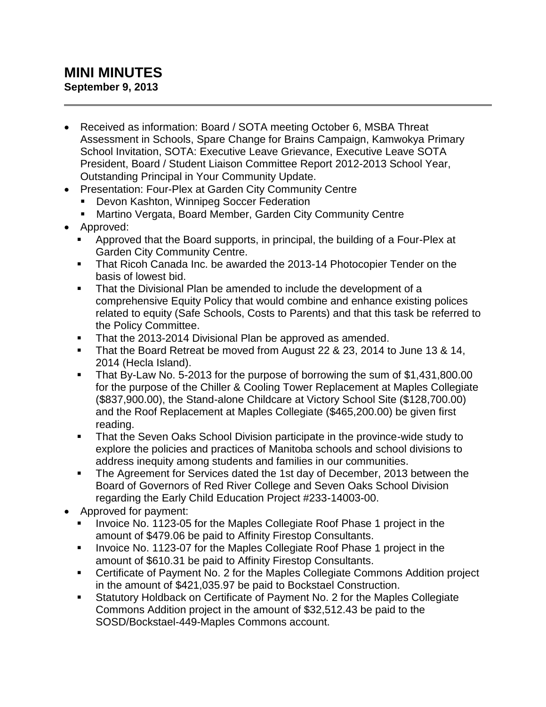## **MINI MINUTES September 9, 2013**

- Received as information: Board / SOTA meeting October 6, MSBA Threat Assessment in Schools, Spare Change for Brains Campaign, Kamwokya Primary School Invitation, SOTA: Executive Leave Grievance, Executive Leave SOTA President, Board / Student Liaison Committee Report 2012-2013 School Year, Outstanding Principal in Your Community Update.
- Presentation: Four-Plex at Garden City Community Centre
	- Devon Kashton, Winnipeg Soccer Federation
	- Martino Vergata, Board Member, Garden City Community Centre
- Approved:
	- Approved that the Board supports, in principal, the building of a Four-Plex at Garden City Community Centre.
	- That Ricoh Canada Inc. be awarded the 2013-14 Photocopier Tender on the basis of lowest bid.
	- That the Divisional Plan be amended to include the development of a comprehensive Equity Policy that would combine and enhance existing polices related to equity (Safe Schools, Costs to Parents) and that this task be referred to the Policy Committee.
	- That the 2013-2014 Divisional Plan be approved as amended.
	- That the Board Retreat be moved from August 22 & 23, 2014 to June 13 & 14, 2014 (Hecla Island).
	- That By-Law No. 5-2013 for the purpose of borrowing the sum of \$1,431,800.00 for the purpose of the Chiller & Cooling Tower Replacement at Maples Collegiate (\$837,900.00), the Stand-alone Childcare at Victory School Site (\$128,700.00) and the Roof Replacement at Maples Collegiate (\$465,200.00) be given first reading.
	- That the Seven Oaks School Division participate in the province-wide study to explore the policies and practices of Manitoba schools and school divisions to address inequity among students and families in our communities.
	- The Agreement for Services dated the 1st day of December, 2013 between the Board of Governors of Red River College and Seven Oaks School Division regarding the Early Child Education Project #233-14003-00.
- Approved for payment:
	- Invoice No. 1123-05 for the Maples Collegiate Roof Phase 1 project in the amount of \$479.06 be paid to Affinity Firestop Consultants.
	- Invoice No. 1123-07 for the Maples Collegiate Roof Phase 1 project in the amount of \$610.31 be paid to Affinity Firestop Consultants.
	- Certificate of Payment No. 2 for the Maples Collegiate Commons Addition project in the amount of \$421,035.97 be paid to Bockstael Construction.
	- Statutory Holdback on Certificate of Payment No. 2 for the Maples Collegiate Commons Addition project in the amount of \$32,512.43 be paid to the SOSD/Bockstael-449-Maples Commons account.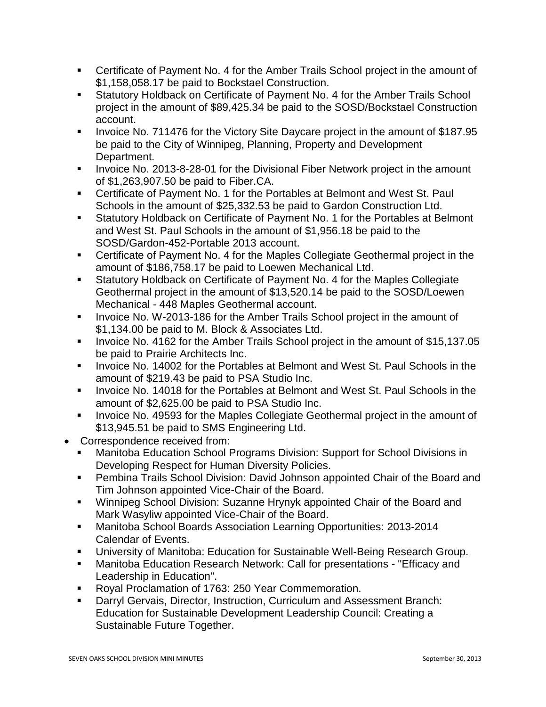- Certificate of Payment No. 4 for the Amber Trails School project in the amount of \$1,158,058.17 be paid to Bockstael Construction.
- Statutory Holdback on Certificate of Payment No. 4 for the Amber Trails School project in the amount of \$89,425.34 be paid to the SOSD/Bockstael Construction account.
- Invoice No. 711476 for the Victory Site Daycare project in the amount of \$187.95 be paid to the City of Winnipeg, Planning, Property and Development Department.
- Invoice No. 2013-8-28-01 for the Divisional Fiber Network project in the amount of \$1,263,907.50 be paid to Fiber.CA.
- Certificate of Payment No. 1 for the Portables at Belmont and West St. Paul Schools in the amount of \$25,332.53 be paid to Gardon Construction Ltd.
- Statutory Holdback on Certificate of Payment No. 1 for the Portables at Belmont and West St. Paul Schools in the amount of \$1,956.18 be paid to the SOSD/Gardon-452-Portable 2013 account.
- Certificate of Payment No. 4 for the Maples Collegiate Geothermal project in the amount of \$186,758.17 be paid to Loewen Mechanical Ltd.
- Statutory Holdback on Certificate of Payment No. 4 for the Maples Collegiate Geothermal project in the amount of \$13,520.14 be paid to the SOSD/Loewen Mechanical - 448 Maples Geothermal account.
- Invoice No. W-2013-186 for the Amber Trails School project in the amount of \$1,134.00 be paid to M. Block & Associates Ltd.
- Invoice No. 4162 for the Amber Trails School project in the amount of \$15,137.05 be paid to Prairie Architects Inc.
- Invoice No. 14002 for the Portables at Belmont and West St. Paul Schools in the amount of \$219.43 be paid to PSA Studio Inc.
- Invoice No. 14018 for the Portables at Belmont and West St. Paul Schools in the amount of \$2,625.00 be paid to PSA Studio Inc.
- Invoice No. 49593 for the Maples Collegiate Geothermal project in the amount of \$13,945.51 be paid to SMS Engineering Ltd.
- Correspondence received from:
	- Manitoba Education School Programs Division: Support for School Divisions in Developing Respect for Human Diversity Policies.
	- Pembina Trails School Division: David Johnson appointed Chair of the Board and Tim Johnson appointed Vice-Chair of the Board.
	- Winnipeg School Division: Suzanne Hrynyk appointed Chair of the Board and Mark Wasyliw appointed Vice-Chair of the Board.
	- Manitoba School Boards Association Learning Opportunities: 2013-2014 Calendar of Events.
	- University of Manitoba: Education for Sustainable Well-Being Research Group.
	- Manitoba Education Research Network: Call for presentations "Efficacy and Leadership in Education".
	- Royal Proclamation of 1763: 250 Year Commemoration.
	- Darryl Gervais, Director, Instruction, Curriculum and Assessment Branch: Education for Sustainable Development Leadership Council: Creating a Sustainable Future Together.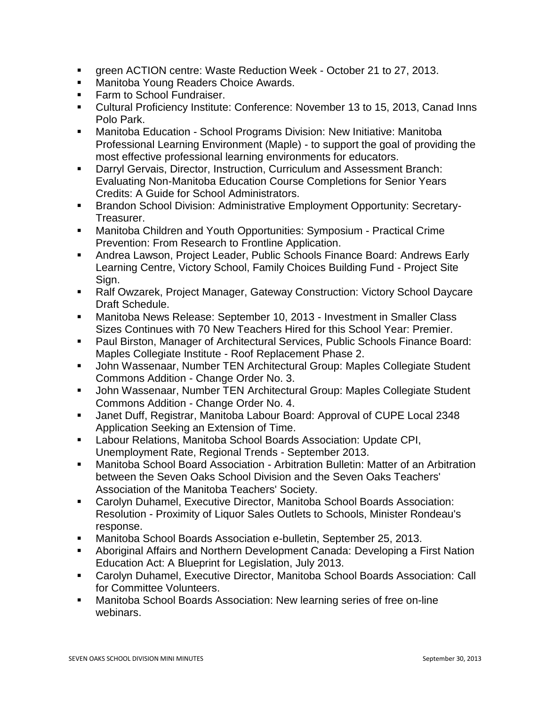- green ACTION centre: Waste Reduction Week October 21 to 27, 2013.
- Manitoba Young Readers Choice Awards.
- Farm to School Fundraiser.
- Cultural Proficiency Institute: Conference: November 13 to 15, 2013, Canad Inns Polo Park.
- Manitoba Education School Programs Division: New Initiative: Manitoba Professional Learning Environment (Maple) - to support the goal of providing the most effective professional learning environments for educators.
- Darryl Gervais, Director, Instruction, Curriculum and Assessment Branch: Evaluating Non-Manitoba Education Course Completions for Senior Years Credits: A Guide for School Administrators.
- Brandon School Division: Administrative Employment Opportunity: Secretary-Treasurer.
- Manitoba Children and Youth Opportunities: Symposium Practical Crime Prevention: From Research to Frontline Application.
- Andrea Lawson, Project Leader, Public Schools Finance Board: Andrews Early Learning Centre, Victory School, Family Choices Building Fund - Project Site Sign.
- Ralf Owzarek, Project Manager, Gateway Construction: Victory School Daycare Draft Schedule.
- Manitoba News Release: September 10, 2013 Investment in Smaller Class Sizes Continues with 70 New Teachers Hired for this School Year: Premier.
- Paul Birston, Manager of Architectural Services, Public Schools Finance Board: Maples Collegiate Institute - Roof Replacement Phase 2.
- John Wassenaar, Number TEN Architectural Group: Maples Collegiate Student Commons Addition - Change Order No. 3.
- John Wassenaar, Number TEN Architectural Group: Maples Collegiate Student Commons Addition - Change Order No. 4.
- Janet Duff, Registrar, Manitoba Labour Board: Approval of CUPE Local 2348 Application Seeking an Extension of Time.
- Labour Relations, Manitoba School Boards Association: Update CPI, Unemployment Rate, Regional Trends - September 2013.
- Manitoba School Board Association Arbitration Bulletin: Matter of an Arbitration between the Seven Oaks School Division and the Seven Oaks Teachers' Association of the Manitoba Teachers' Society.
- Carolyn Duhamel, Executive Director, Manitoba School Boards Association: Resolution - Proximity of Liquor Sales Outlets to Schools, Minister Rondeau's response.
- Manitoba School Boards Association e-bulletin, September 25, 2013.
- Aboriginal Affairs and Northern Development Canada: Developing a First Nation Education Act: A Blueprint for Legislation, July 2013.
- Carolyn Duhamel, Executive Director, Manitoba School Boards Association: Call for Committee Volunteers.
- Manitoba School Boards Association: New learning series of free on-line webinars.